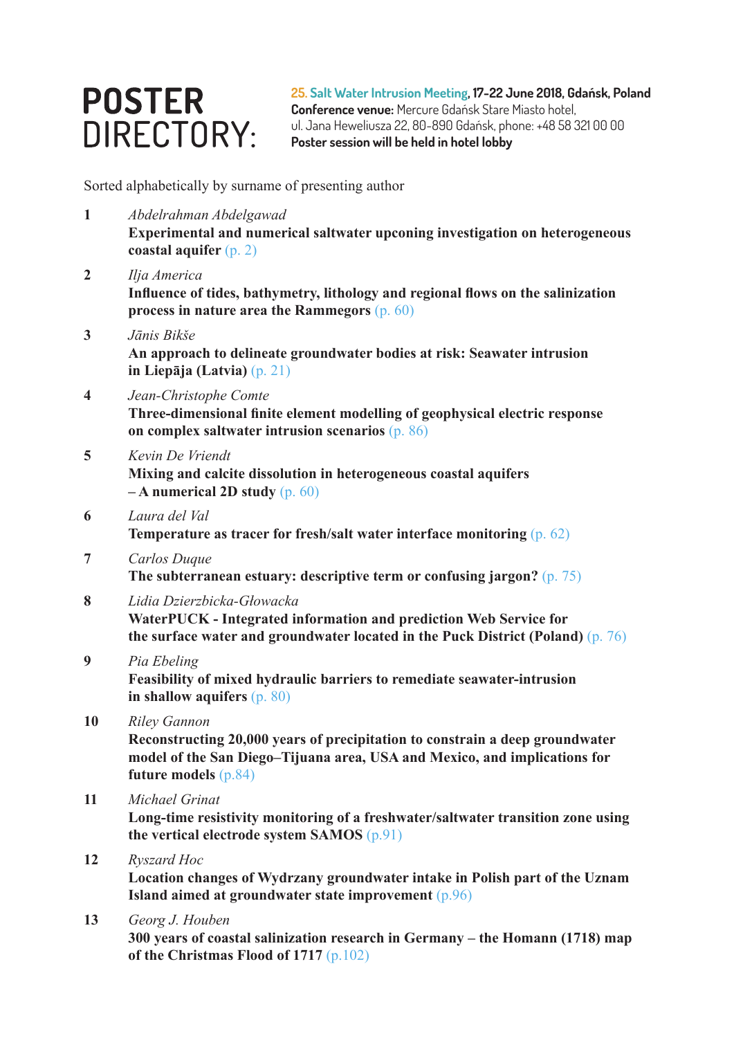## **POSTER** DIRECTORY:

**25. Salt Water Intrusion Meeting, 17-22 June 2018, Gdańsk, Poland Conference venue:** Mercure Gdańsk Stare Miasto hotel, ul. Jana Heweliusza 22, 80-890 Gdańsk, phone: +48 58 321 00 00 **Poster session will be held in hotel lobby**

Sorted alphabetically by surname of presenting author

- **1** *Abdelrahman Abdelgawad*  **Experimental and numerical saltwater upconing investigation on heterogeneous coastal aquifer** (p. 2)
- **2** *Ilja America*  **Influence of tides, bathymetry, lithology and regional flows on the salinization process in nature area the Rammegors** (p. 60)
- **3** *Jānis Bikše*  **An approach to delineate groundwater bodies at risk: Seawater intrusion in Liepāja (Latvia)** (p. 21)
- **4** *Jean-Christophe Comte*

**Three-dimensional finite element modelling of geophysical electric response on complex saltwater intrusion scenarios** (p. 86)

**5** *Kevin De Vriendt* 

**Mixing and calcite dissolution in heterogeneous coastal aquifers – A numerical 2D study** (p. 60)

- **6** *Laura del Val* **Temperature as tracer for fresh/salt water interface monitoring** (p. 62)
- **7** *Carlos Duque*  **The subterranean estuary: descriptive term or confusing jargon?** (p. 75)
- **8** *Lidia Dzierzbicka-Głowacka*  **WaterPUCK - Integrated information and prediction Web Service for the surface water and groundwater located in the Puck District (Poland)** (p. 76)
- **9** *Pia Ebeling*  **Feasibility of mixed hydraulic barriers to remediate seawater-intrusion in shallow aquifers** (p. 80)
- **10** *Riley Gannon*

**Reconstructing 20,000 years of precipitation to constrain a deep groundwater model of the San Diego–Tijuana area, USA and Mexico, and implications for future models** (p.84)

**11** *Michael Grinat* 

**Long-time resistivity monitoring of a freshwater/saltwater transition zone using the vertical electrode system SAMOS** (p.91)

**12** *Ryszard Hoc* 

**Location changes of Wydrzany groundwater intake in Polish part of the Uznam Island aimed at groundwater state improvement** (p.96)

**13** *Georg J. Houben* 

**300 years of coastal salinization research in Germany – the Homann (1718) map of the Christmas Flood of 1717** (p.102)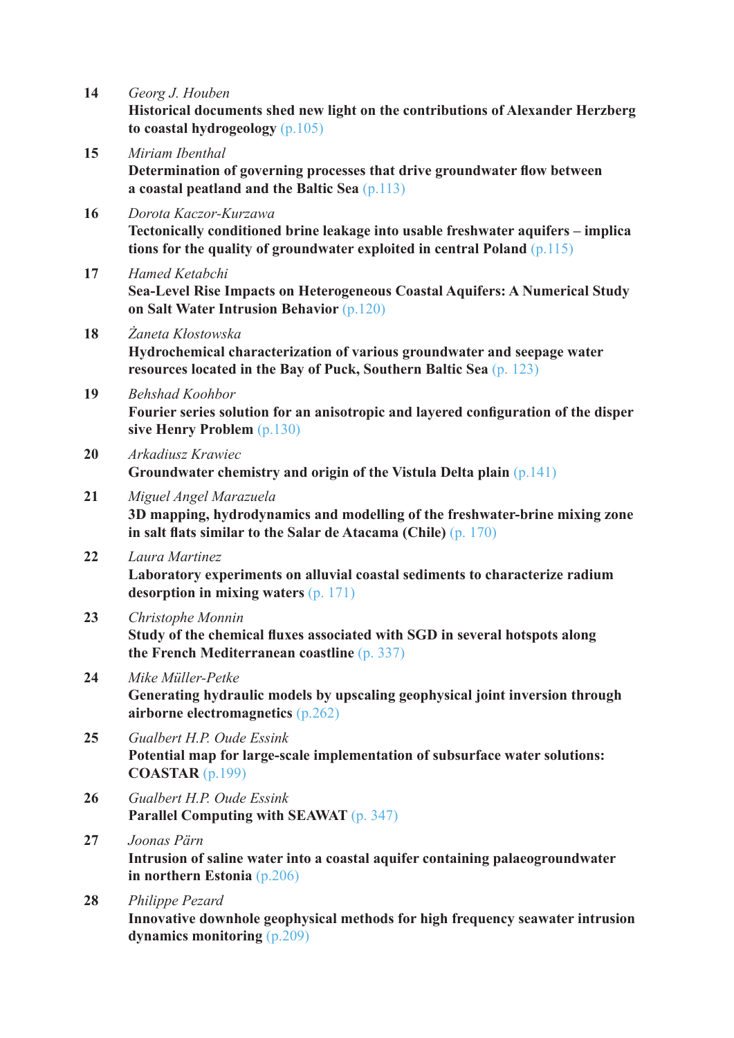**14** *Georg J. Houben* 

**Historical documents shed new light on the contributions of Alexander Herzberg to coastal hydrogeology** (p.105)

- **15** *Miriam Ibenthal*  **Determination of governing processes that drive groundwater flow between a coastal peatland and the Baltic Sea** (p.113)
- **16** *Dorota Kaczor-Kurzawa*  **Tectonically conditioned brine leakage into usable freshwater aquifers – implica tions for the quality of groundwater exploited in central Poland** (p.115)
- **17** *Hamed Ketabchi*  **Sea-Level Rise Impacts on Heterogeneous Coastal Aquifers: A Numerical Study on Salt Water Intrusion Behavior** (p.120)
- **18** *Żaneta Kłostowska*  **Hydrochemical characterization of various groundwater and seepage water resources located in the Bay of Puck, Southern Baltic Sea** (p. 123)
- **19** *Behshad Koohbor*

**Fourier series solution for an anisotropic and layered configuration of the disper sive Henry Problem** (p.130)

- **20** *Arkadiusz Krawiec*  **Groundwater chemistry and origin of the Vistula Delta plain** (p.141)
- **21** *Miguel Angel Marazuela*  **3D mapping, hydrodynamics and modelling of the freshwater-brine mixing zone in salt flats similar to the Salar de Atacama (Chile)** (p. 170)
- **22** *Laura Martinez*  **Laboratory experiments on alluvial coastal sediments to characterize radium desorption in mixing waters** (p. 171)
- **23** *Christophe Monnin*  **Study of the chemical fluxes associated with SGD in several hotspots along the French Mediterranean coastline** (p. 337)
- **24** *Mike Müller-Petke*  **Generating hydraulic models by upscaling geophysical joint inversion through airborne electromagnetics** (p.262)
- **25** *Gualbert H.P. Oude Essink*  **Potential map for large-scale implementation of subsurface water solutions: COASTAR** (p.199)
- **26** *Gualbert H.P. Oude Essink*  **Parallel Computing with SEAWAT** (p. 347)
- **27** *Joonas Pärn*  **Intrusion of saline water into a coastal aquifer containing palaeogroundwater in northern Estonia** (p.206)
- **28** *Philippe Pezard*  **Innovative downhole geophysical methods for high frequency seawater intrusion dynamics monitoring** (p.209)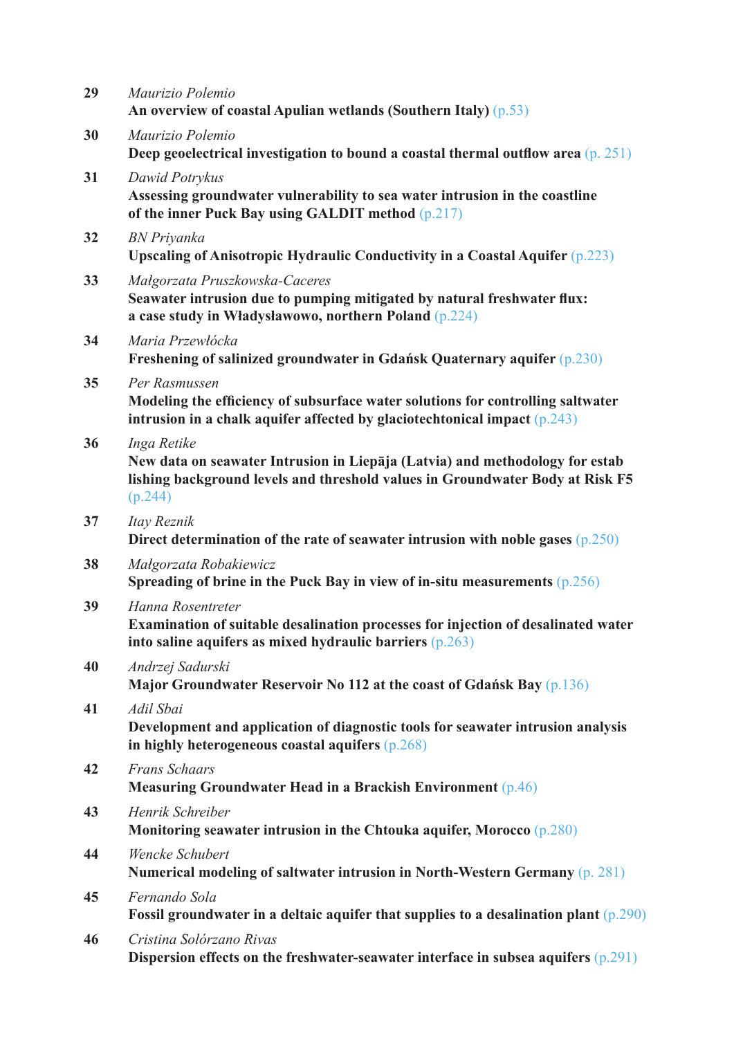| 29 | Maurizio Polemio<br>An overview of coastal Apulian wetlands (Southern Italy) $(p.53)$                                                                                                   |
|----|-----------------------------------------------------------------------------------------------------------------------------------------------------------------------------------------|
| 30 | Maurizio Polemio<br>Deep geoelectrical investigation to bound a coastal thermal outflow area (p. 251)                                                                                   |
| 31 | Dawid Potrykus<br>Assessing groundwater vulnerability to sea water intrusion in the coastline<br>of the inner Puck Bay using GALDIT method (p.217)                                      |
| 32 | <b>BN</b> Priyanka<br>Upscaling of Anisotropic Hydraulic Conductivity in a Coastal Aquifer $(p.223)$                                                                                    |
| 33 | Małgorzata Pruszkowska-Caceres<br>Seawater intrusion due to pumping mitigated by natural freshwater flux:<br>a case study in Władysławowo, northern Poland $(p.224)$                    |
| 34 | Maria Przewłócka<br>Freshening of salinized groundwater in Gdańsk Quaternary aquifer (p.230)                                                                                            |
| 35 | Per Rasmussen<br>Modeling the efficiency of subsurface water solutions for controlling saltwater<br>intrusion in a chalk aquifer affected by glaciotechtonical impact $(p.243)$         |
| 36 | Inga Retike<br>New data on seawater Intrusion in Liepāja (Latvia) and methodology for estab<br>lishing background levels and threshold values in Groundwater Body at Risk F5<br>(p.244) |
| 37 | Itay Reznik<br>Direct determination of the rate of seawater intrusion with noble gases $(p.250)$                                                                                        |
| 38 | Małgorzata Robakiewicz<br>Spreading of brine in the Puck Bay in view of in-situ measurements $(p.256)$                                                                                  |
| 39 | Hanna Rosentreter<br>Examination of suitable desalination processes for injection of desalinated water<br>into saline aquifers as mixed hydraulic barriers $(p.263)$                    |
| 40 | Andrzej Sadurski<br>Major Groundwater Reservoir No 112 at the coast of Gdańsk Bay (p.136)                                                                                               |
| 41 | Adil Sbai<br>Development and application of diagnostic tools for seawater intrusion analysis<br>in highly heterogeneous coastal aquifers $(p.268)$                                      |
| 42 | <b>Frans Schaars</b><br>Measuring Groundwater Head in a Brackish Environment $(p.46)$                                                                                                   |
| 43 | Henrik Schreiber<br>Monitoring seawater intrusion in the Chtouka aquifer, Morocco $(p.280)$                                                                                             |
| 44 | Wencke Schubert<br>Numerical modeling of saltwater intrusion in North-Western Germany (p. 281)                                                                                          |
| 45 | Fernando Sola<br>Fossil groundwater in a deltaic aquifer that supplies to a desalination plant $(p.290)$                                                                                |
| 46 | Cristina Solórzano Rivas<br>Dispersion effects on the freshwater-seawater interface in subsea aquifers $(p.291)$                                                                        |
|    |                                                                                                                                                                                         |